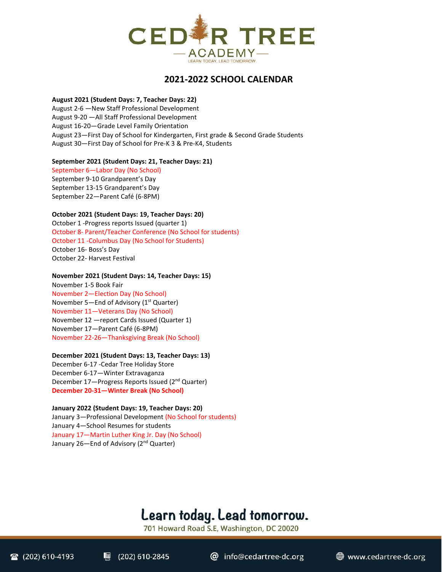

# **2021-2022 SCHOOL CALENDAR**

# **August 2021 (Student Days: 7, Teacher Days: 22)**

August 2-6 —New Staff Professional Development August 9-20 —All Staff Professional Development August 16-20—Grade Level Family Orientation August 23—First Day of School for Kindergarten, First grade & Second Grade Students August 30—First Day of School for Pre-K 3 & Pre-K4, Students

### **September 2021 (Student Days: 21, Teacher Days: 21)**

September 6—Labor Day (No School) September 9-10 Grandparent's Day September 13-15 Grandparent's Day September 22—Parent Café (6-8PM)

# **October 2021 (Student Days: 19, Teacher Days: 20)**

October 1 -Progress reports Issued (quarter 1) October 8- Parent/Teacher Conference (No School for students) October 11 -Columbus Day (No School for Students) October 16- Boss's Day October 22- Harvest Festival

#### **November 2021 (Student Days: 14, Teacher Days: 15)**

November 1-5 Book Fair November 2—Election Day (No School) November 5—End of Advisory ( $1<sup>st</sup>$  Quarter) November 11—Veterans Day (No School) November 12 —report Cards Issued (Quarter 1) November 17—Parent Café (6-8PM) November 22-26—Thanksgiving Break (No School)

### **December 2021 (Student Days: 13, Teacher Days: 13)**

December 6-17 -Cedar Tree Holiday Store December 6-17—Winter Extravaganza December 17-Progress Reports Issued (2<sup>nd</sup> Quarter) **December 20-31—Winter Break (No School)**

**January 2022 (Student Days: 19, Teacher Days: 20)** January 3—Professional Development (No School for students) January 4—School Resumes for students January 17—Martin Luther King Jr. Day (No School) January 26-End of Advisory (2<sup>nd</sup> Quarter)

# Learn today. Lead tomorrow.

701 Howard Road S.E, Washington, DC 20020